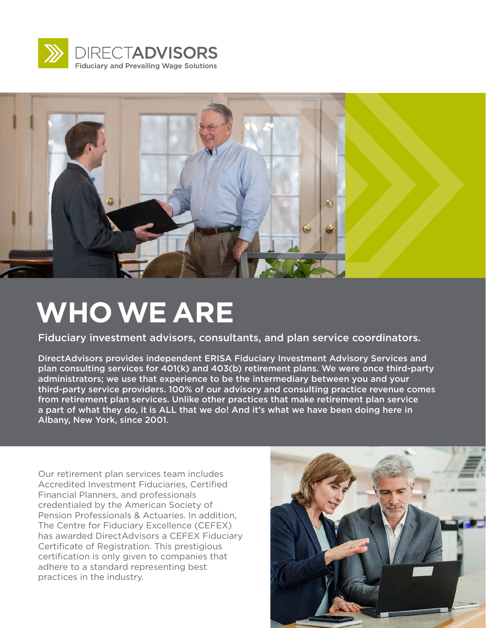



## **WHO WE ARE**

Fiduciary investment advisors, consultants, and plan service coordinators.

DirectAdvisors provides independent ERISA Fiduciary Investment Advisory Services and plan consulting services for 401(k) and 403(b) retirement plans. We were once third-party administrators; we use that experience to be the intermediary between you and your third-party service providers. 100% of our advisory and consulting practice revenue comes from retirement plan services. Unlike other practices that make retirement plan service a part of what they do, it is ALL that we do! And it's what we have been doing here in Albany, New York, since 2001.

Our retirement plan services team includes Accredited Investment Fiduciaries, Certified Financial Planners, and professionals credentialed by the American Society of Pension Professionals & Actuaries. In addition, The Centre for Fiduciary Excellence (CEFEX) has awarded DirectAdvisors a CEFEX Fiduciary Certificate of Registration. This prestigious certification is only given to companies that adhere to a standard representing best practices in the industry.